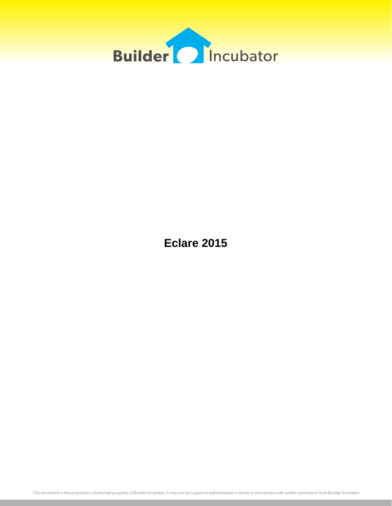

**Eclare 2015**

This document is the proprietary intellectual property of Builder Incubator. It may not be copied or administered in whole or part except with written permission from Builder Incubator.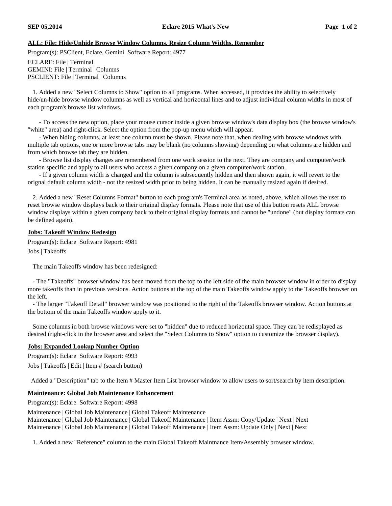## **ALL: File: Hide/Unhide Browse Window Columns, Resize Column Widths, Remember**

Program(s): PSClient, Eclare, Gemini Software Report: 4977

ECLARE: File | Terminal GEMINI: File | Terminal | Columns PSCLIENT: File | Terminal | Columns

1. Added a new "Select Columns to Show" option to all programs. When accessed, it provides the ability to selectively hide/un-hide browse window columns as well as vertical and horizontal lines and to adjust individual column widths in most of each program's browse list windows.

- To access the new option, place your mouse cursor inside a given browse window's data display box (the browse window's "white" area) and right-click. Select the option from the pop-up menu which will appear.

- When hiding columns, at least one column must be shown. Please note that, when dealing with browse windows with multiple tab options, one or more browse tabs may be blank (no columns showing) depending on what columns are hidden and from which browse tab they are hidden.

- Browse list display changes are remembered from one work session to the next. They are company and computer/work station specific and apply to all users who access a given company on a given computer/work station.

- If a given column width is changed and the column is subsequently hidden and then shown again, it will revert to the orignal default column width - not the resized width prior to being hidden. It can be manually resized again if desired.

2. Added a new "Reset Columns Format" button to each program's Terminal area as noted, above, which allows the user to reset browse window displays back to their original display formats. Please note that use of this button resets ALL browse window displays within a given company back to their original display formats and cannot be "undone" (but display formats can be defined again).

## **Jobs: Takeoff Window Redesign**

Program(s): Eclare Software Report: 4981

Jobs | Takeoffs

The main Takeoffs window has been redesigned:

- The "Takeoffs" browser window has been moved from the top to the left side of the main browser window in order to display more takeoffs than in previous versions. Action buttons at the top of the main Takeoffs window apply to the Takeoffs browser on the left.

- The larger "Takeoff Detail" browser window was positioned to the right of the Takeoffs browser window. Action buttons at the bottom of the main Takeoffs window apply to it.

Some columns in both browse windows were set to "hidden" due to reduced horizontal space. They can be redisplayed as desired (right-click in the browser area and select the "Select Columns to Show" option to customize the browser display).

## **Jobs: Expanded Lookup Number Option**

Program(s): Eclare Software Report: 4993

Jobs | Takeoffs | Edit | Item # (search button)

Added a "Description" tab to the Item # Master Item List browser window to allow users to sort/search by item description.

## **Maintenance: Global Job Maintenance Enhancement**

Program(s): Eclare Software Report: 4998

Maintenance | Global Job Maintenance | Global Takeoff Maintenance Maintenance | Global Job Maintenance | Global Takeoff Maintenance | Item Assm: Copy/Update | Next | Next Maintenance | Global Job Maintenance | Global Takeoff Maintenance | Item Assm: Update Only | Next | Next

1. Added a new "Reference" column to the main Global Takeoff Maintnance Item/Assembly browser window.